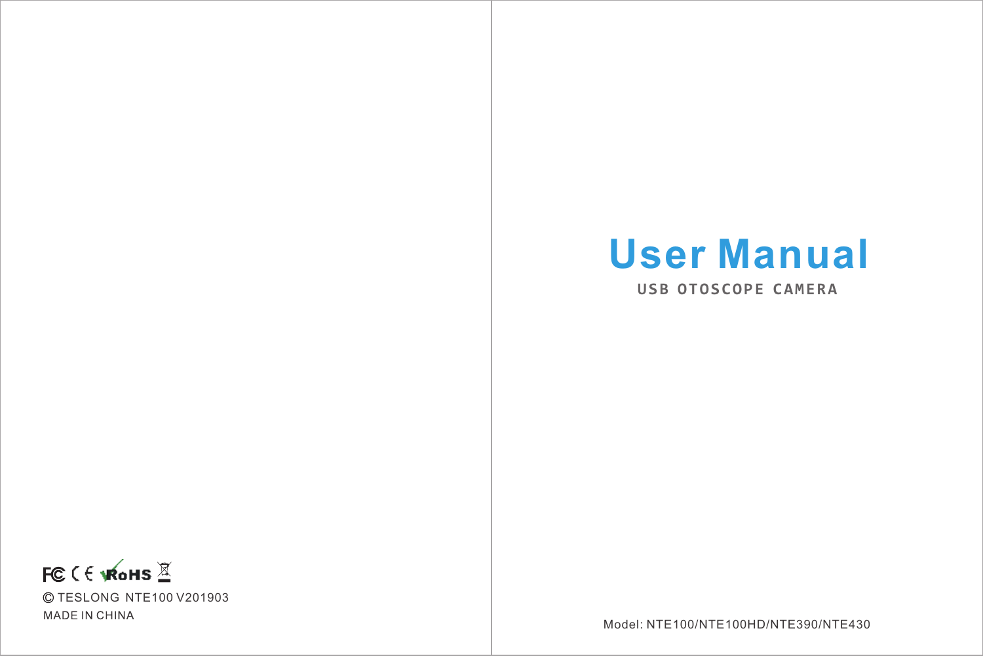# **User Manual**

**USB OTOSCOPE CAMERA**



Model: NTE100/NTE100HD/NTE390/NTE430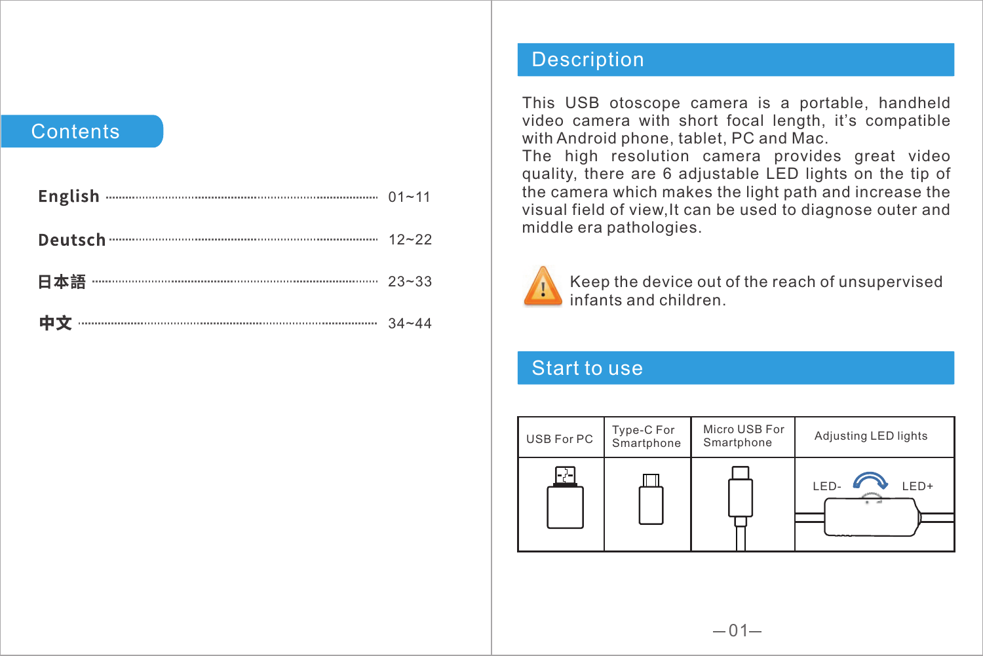### **Contents**

#### Description

This USB otoscope camera is a portable, handheld video camera with short focal length, it's compatible with Android phone, tablet, PC and Mac.

The high resolution camera provides great video quality, there are 6 adjustable LED lights on the tip of the camera which makes the light path and increase the visual field of view,It can be used to diagnose outer and middle era pathologies.



Keep the device out of the reach of unsupervised infants and children.

## Start to use

| USB For PC | Type-C For<br>Smartphone | Micro USB For<br>Smartphone | Adjusting LED lights |  |
|------------|--------------------------|-----------------------------|----------------------|--|
| m Co       |                          |                             | LED+<br>LED<br>-     |  |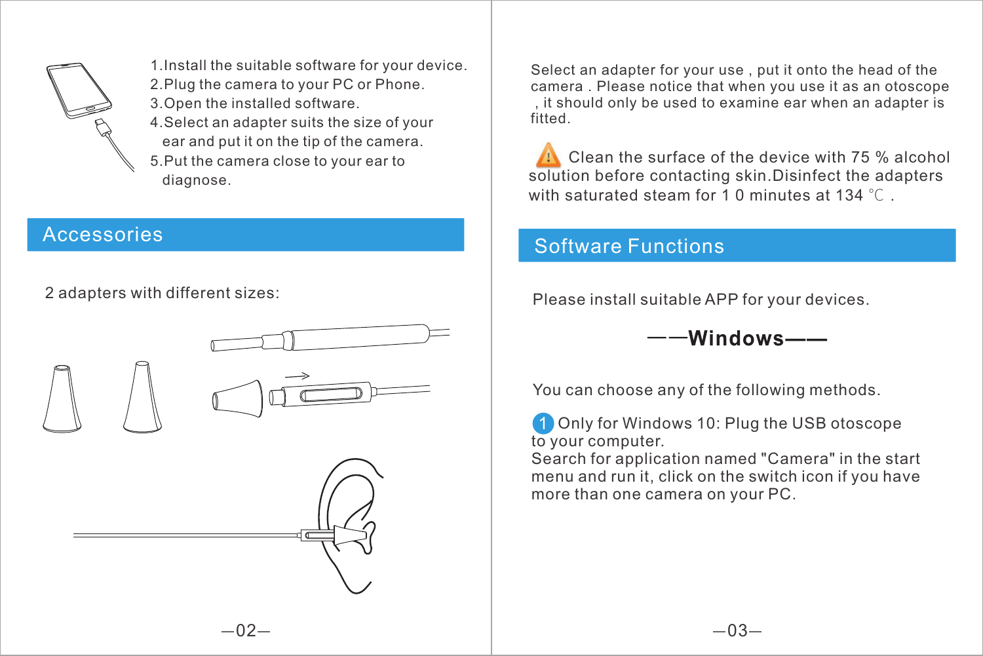

1. Install the suitable software for your device. 2.Plug the camera to your PC or Phone.

- 3.Open the installed software. 4.Select an adapter suits the size of your
- ear and put it on the tip of the camera.
- 5.Put the camera close to your ear to diagnose.

## Accessories

2 adapters with different sizes:



Select an adapter for your use , put it onto the head of the camera . Please notice that when you use it as an otoscope , it should only be used to examine ear when an adapter is fitted.

Clean the surface of the device with 75 % alcohol solution before contacting skin.Disinfect the adapters with saturated steam for 1 0 minutes at 134 ℃

## Software Functions

Please install suitable APP for your devices.

 $--$ Windows $--$ 

You can choose any of the following methods.

Only for Windows 10: Plug the USB otoscope to your computer.

Search for application named "Camera" in the start menu and run it, click on the switch icon if you have more than one camera on your PC.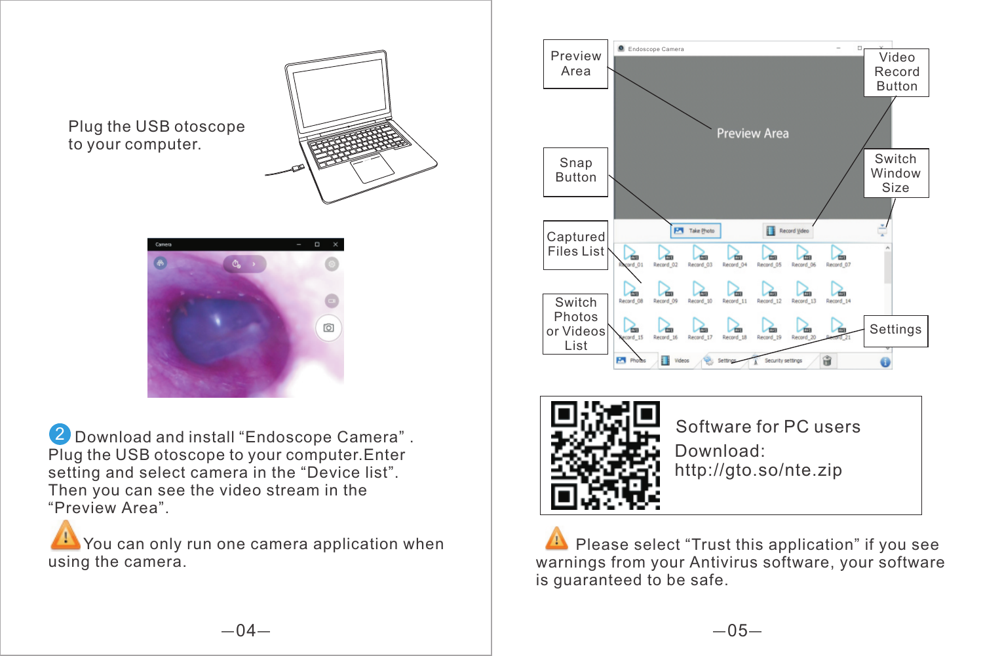Plug the USB otoscope to your computer.





2 Download and install "Endoscope Camera". Plug the USB otoscope to your computer.Enter setting and select camera in the "Device list". Then you can see the video stream in the "Preview Area".

You can only run one camera application when using the camera.





Software for PC users Download: http://gto.so/nte.zip

**WARE Please select "Trust this application" if you see warnings from your Antivirus software, your software** is guaranteed to be safe. Please select "Trust this application" if you see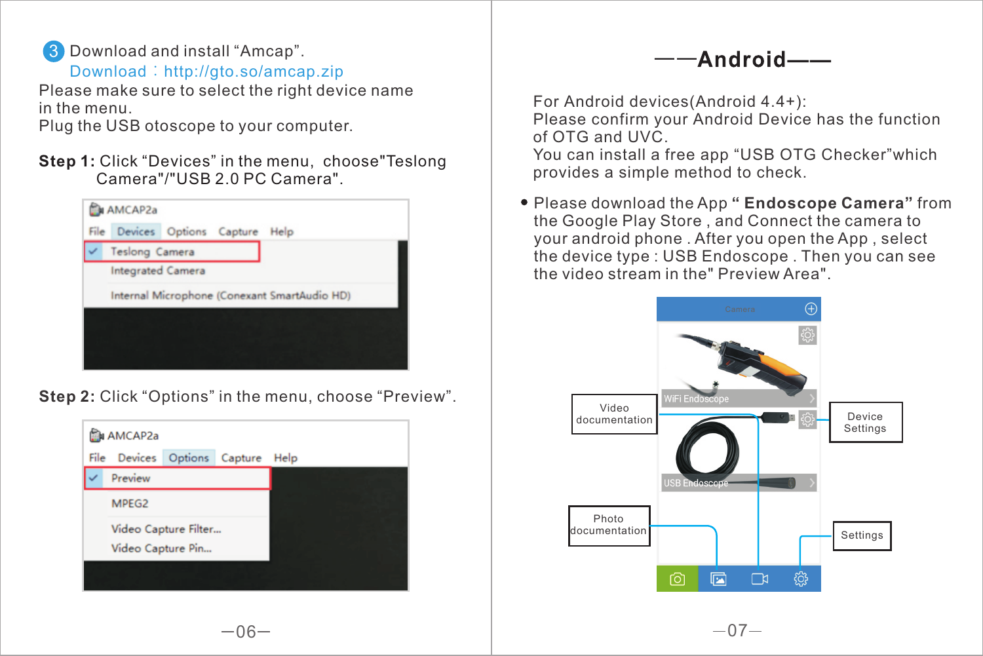

Please make sure to select the right device name in the menu. Download:http://gto.so/amcap.zip

Plug the USB otoscope to your computer.

**Step 1:** Click "Devices" in the menu, choose"Teslong Camera"/"USB 2.0 PC Camera".



**Step 2:** Click "Options" in the menu, choose "Preview".





For Android devices(Android 4.4+): Please confirm your Android Device has the function of OTG and UVC. You can install a free app "USB OTG Checker"which provides a simple method to check.

Please download the App **" Endoscope Camera"** from the Google Play Store , and Connect the camera to your android phone . After you open the App , select the device type : USB Endoscope . Then you can see the video stream in the" Preview Area".

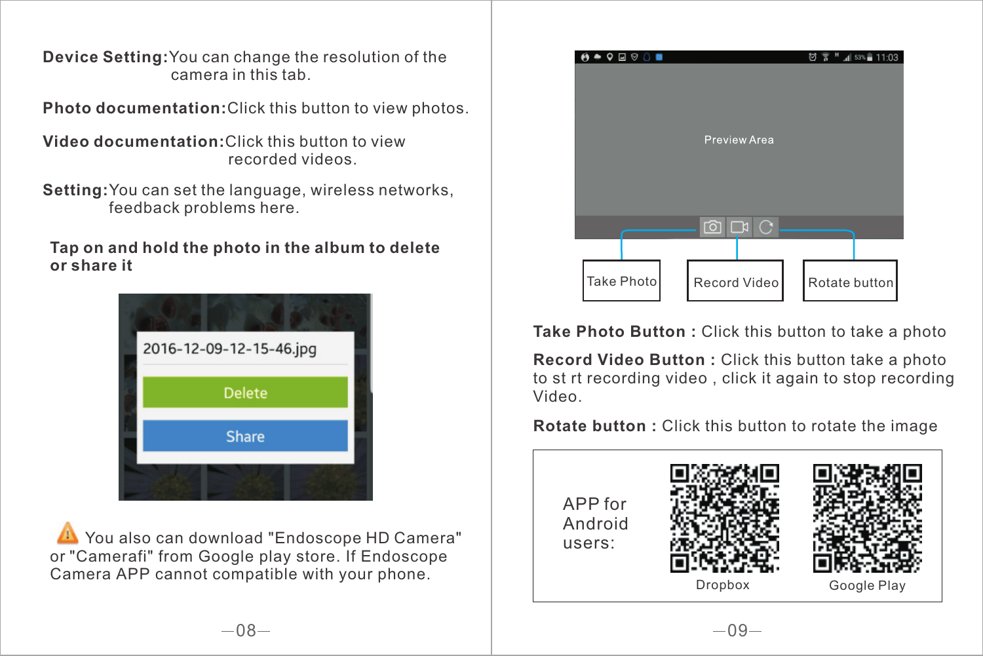**Device Setting:**You can change the resolution of the camera in this tab.

**Photo documentation:**Click this button to view photos.

**Video documentation:**Click this button to view recorded videos.

**Setting:**You can set the language, wireless networks, feedback problems here.

**Tap on and hold the photo in the album to delete or share it**



You also can download "Endoscope HD Camera" or "Camerafi" from Google play store. If Endoscope Camera APP cannot compatible with your phone.



**Take Photo Button :** Click this button to take a photo

**Record Video Button :** Click this button take a photo to st rt recording video , click it again to stop recording Video.

**Rotate button :** Click this button to rotate the image